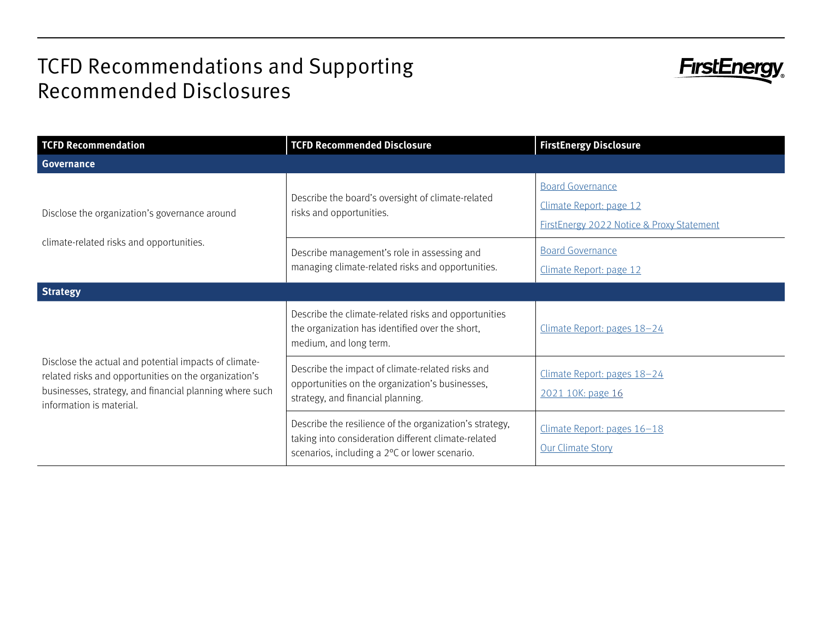## TCFD Recommendations and Supporting Recommended Disclosures



| <b>TCFD Recommendation</b>                                                                                                                                                                            | <b>TCFD Recommended Disclosure</b>                                                                                                                              | <b>FirstEnergy Disclosure</b>                                                                   |
|-------------------------------------------------------------------------------------------------------------------------------------------------------------------------------------------------------|-----------------------------------------------------------------------------------------------------------------------------------------------------------------|-------------------------------------------------------------------------------------------------|
| <b>Governance</b>                                                                                                                                                                                     |                                                                                                                                                                 |                                                                                                 |
| Disclose the organization's governance around<br>climate-related risks and opportunities.                                                                                                             | Describe the board's oversight of climate-related<br>risks and opportunities.                                                                                   | <b>Board Governance</b><br>Climate Report: page 12<br>FirstEnergy 2022 Notice & Proxy Statement |
|                                                                                                                                                                                                       | Describe management's role in assessing and<br>managing climate-related risks and opportunities.                                                                | <b>Board Governance</b><br>Climate Report: page 12                                              |
| <b>Strategy</b>                                                                                                                                                                                       |                                                                                                                                                                 |                                                                                                 |
| Disclose the actual and potential impacts of climate-<br>related risks and opportunities on the organization's<br>businesses, strategy, and financial planning where such<br>information is material. | Describe the climate-related risks and opportunities<br>the organization has identified over the short,<br>medium, and long term.                               | Climate Report: pages 18-24                                                                     |
|                                                                                                                                                                                                       | Describe the impact of climate-related risks and<br>opportunities on the organization's businesses,<br>strategy, and financial planning.                        | Climate Report: pages 18-24<br>2021 10K: page 16                                                |
|                                                                                                                                                                                                       | Describe the resilience of the organization's strategy,<br>taking into consideration different climate-related<br>scenarios, including a 2°C or lower scenario. | Climate Report: pages 16-18<br><b>Our Climate Story</b>                                         |